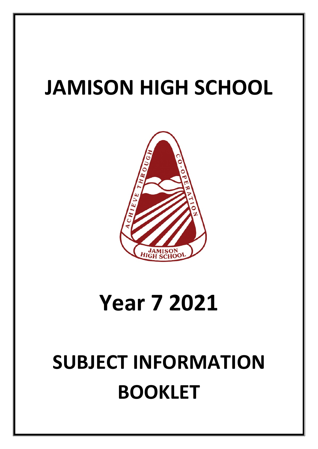# **JAMISON HIGH SCHOOL**



# **Year 7 2021**

# **SUBJECT INFORMATION BOOKLET**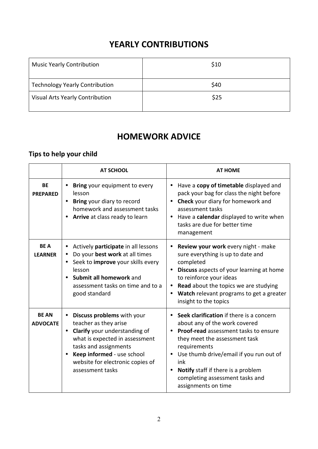# **YEARLY CONTRIBUTIONS**

| <b>Music Yearly Contribution</b>      | \$10 |
|---------------------------------------|------|
| <b>Technology Yearly Contribution</b> | \$40 |
| Visual Arts Yearly Contribution       | \$25 |

# **HOMEWORK ADVICE**

# **Tips to help your child**

|                                 | <b>AT SCHOOL</b>                                                                                                                                                                                                                                                | <b>AT HOME</b>                                                                                                                                                                                                                                                                                                                                         |
|---------------------------------|-----------------------------------------------------------------------------------------------------------------------------------------------------------------------------------------------------------------------------------------------------------------|--------------------------------------------------------------------------------------------------------------------------------------------------------------------------------------------------------------------------------------------------------------------------------------------------------------------------------------------------------|
| <b>BE</b><br><b>PREPARED</b>    | Bring your equipment to every<br>lesson<br>Bring your diary to record<br>$\bullet$<br>homework and assessment tasks<br>Arrive at class ready to learn                                                                                                           | Have a copy of timetable displayed and<br>pack your bag for class the night before<br>Check your diary for homework and<br>assessment tasks<br>Have a calendar displayed to write when<br>$\bullet$<br>tasks are due for better time<br>management                                                                                                     |
| <b>BEA</b><br><b>LEARNER</b>    | Actively participate in all lessons<br>Do your best work at all times<br>٠<br>Seek to <i>improve</i> your skills every<br>٠<br>lesson<br>Submit all homework and<br>$\bullet$<br>assessment tasks on time and to a<br>good standard                             | Review your work every night - make<br>sure everything is up to date and<br>completed<br>Discuss aspects of your learning at home<br>$\bullet$<br>to reinforce your ideas<br><b>Read</b> about the topics we are studying<br>Watch relevant programs to get a greater<br>$\bullet$<br>insight to the topics                                            |
| <b>BE AN</b><br><b>ADVOCATE</b> | Discuss problems with your<br>$\bullet$<br>teacher as they arise<br>Clarify your understanding of<br>$\bullet$<br>what is expected in assessment<br>tasks and assignments<br>Keep informed - use school<br>website for electronic copies of<br>assessment tasks | Seek clarification if there is a concern<br>$\bullet$<br>about any of the work covered<br><b>Proof-read</b> assessment tasks to ensure<br>they meet the assessment task<br>requirements<br>Use thumb drive/email if you run out of<br>ink<br>Notify staff if there is a problem<br>$\bullet$<br>completing assessment tasks and<br>assignments on time |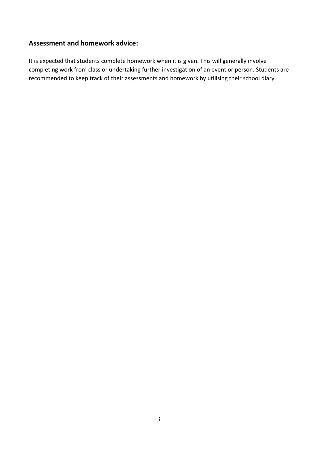## **Assessment and homework advice:**

It is expected that students complete homework when it is given. This will generally involve completing work from class or undertaking further investigation of an event or person. Students are recommended to keep track of their assessments and homework by utilising their school diary.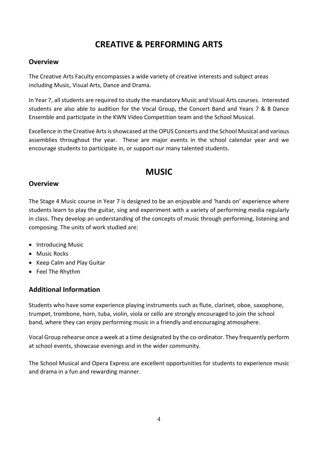# **CREATIVE & PERFORMING ARTS**

## **Overview**

The Creative Arts Faculty encompasses a wide variety of creative interests and subject areas including Music, Visual Arts, Dance and Drama.

In Year 7, all students are required to study the mandatory Music and Visual Arts courses. Interested students are also able to audition for the Vocal Group, the Concert Band and Years 7 & 8 Dance Ensemble and participate in the KWN Video Competition team and the School Musical.

Excellence in the Creative Arts is showcased at the OPUS Concerts and the School Musical and various assemblies throughout the year. These are major events in the school calendar year and we encourage students to participate in, or support our many talented students.

# **MUSIC**

## **Overview**

The Stage 4 Music course in Year 7 is designed to be an enjoyable and 'hands on' experience where students learn to play the guitar, sing and experiment with a variety of performing media regularly in class. They develop an understanding of the concepts of music through performing, listening and composing. The units of work studied are:

- Introducing Music
- Music Rocks
- Keep Calm and Play Guitar
- Feel The Rhythm

## **Additional Information**

Students who have some experience playing instruments such as flute, clarinet, oboe, saxophone, trumpet, trombone, horn, tuba, violin, viola or cello are strongly encouraged to join the school band, where they can enjoy performing music in a friendly and encouraging atmosphere.

Vocal Group rehearse once a week at a time designated by the co-ordinator. They frequently perform at school events, showcase evenings and in the wider community.

The School Musical and Opera Express are excellent opportunities for students to experience music and drama in a fun and rewarding manner.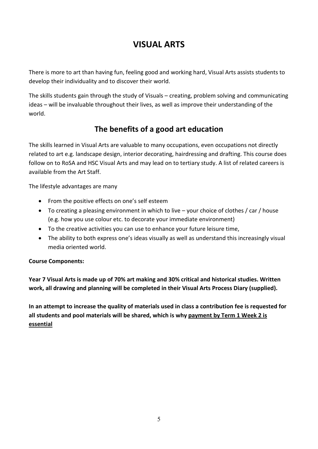# **VISUAL ARTS**

There is more to art than having fun, feeling good and working hard, Visual Arts assists students to develop their individuality and to discover their world.

The skills students gain through the study of Visuals – creating, problem solving and communicating ideas – will be invaluable throughout their lives, as well as improve their understanding of the world.

# **The benefits of a good art education**

The skills learned in Visual Arts are valuable to many occupations, even occupations not directly related to art e.g. landscape design, interior decorating, hairdressing and drafting. This course does follow on to RoSA and HSC Visual Arts and may lead on to tertiary study. A list of related careers is available from the Art Staff.

The lifestyle advantages are many

- From the positive effects on one's self esteem
- To creating a pleasing environment in which to live your choice of clothes / car / house (e.g. how you use colour etc. to decorate your immediate environment)
- To the creative activities you can use to enhance your future leisure time,
- The ability to both express one's ideas visually as well as understand this increasingly visual media oriented world.

## **Course Components:**

**Year 7 Visual Arts is made up of 70% art making and 30% critical and historical studies. Written work, all drawing and planning will be completed in their Visual Arts Process Diary (supplied).** 

**In an attempt to increase the quality of materials used in class a contribution fee is requested for all students and pool materials will be shared, which is why payment by Term 1 Week 2 is essential**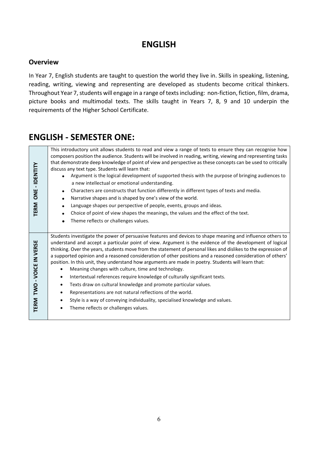# **ENGLISH**

## **Overview**

In Year 7, English students are taught to question the world they live in. Skills in speaking, listening, reading, writing, viewing and representing are developed as students become critical thinkers. Throughout Year 7, students will engage in a range of texts including: non-fiction, fiction, film, drama, picture books and multimodal texts. The skills taught in Years 7, 8, 9 and 10 underpin the requirements of the Higher School Certificate.

# **ENGLISH - SEMESTER ONE:**

| IDENTITY<br>$\blacksquare$<br>ONE<br><b>TERM</b> | This introductory unit allows students to read and view a range of texts to ensure they can recognise how<br>composers position the audience. Students will be involved in reading, writing, viewing and representing tasks<br>that demonstrate deep knowledge of point of view and perspective as these concepts can be used to critically<br>discuss any text type. Students will learn that:<br>Argument is the logical development of supported thesis with the purpose of bringing audiences to<br>a new intellectual or emotional understanding.<br>Characters are constructs that function differently in different types of texts and media.<br>$\bullet$<br>Narrative shapes and is shaped by one's view of the world.<br>Language shapes our perspective of people, events, groups and ideas.<br>Choice of point of view shapes the meanings, the values and the effect of the text.<br>Theme reflects or challenges values.                                                                              |
|--------------------------------------------------|---------------------------------------------------------------------------------------------------------------------------------------------------------------------------------------------------------------------------------------------------------------------------------------------------------------------------------------------------------------------------------------------------------------------------------------------------------------------------------------------------------------------------------------------------------------------------------------------------------------------------------------------------------------------------------------------------------------------------------------------------------------------------------------------------------------------------------------------------------------------------------------------------------------------------------------------------------------------------------------------------------------------|
| TWO - VOICE IN VERSE<br><b>TERM</b>              | Students investigate the power of persuasive features and devices to shape meaning and influence others to<br>understand and accept a particular point of view. Argument is the evidence of the development of logical<br>thinking. Over the years, students move from the statement of personal likes and dislikes to the expression of<br>a supported opinion and a reasoned consideration of other positions and a reasoned consideration of others'<br>position. In this unit, they understand how arguments are made in poetry. Students will learn that:<br>Meaning changes with culture, time and technology.<br>Intertextual references require knowledge of culturally significant texts.<br>$\bullet$<br>Texts draw on cultural knowledge and promote particular values.<br>$\bullet$<br>Representations are not natural reflections of the world.<br>٠<br>Style is a way of conveying individuality, specialised knowledge and values.<br>$\bullet$<br>Theme reflects or challenges values.<br>$\bullet$ |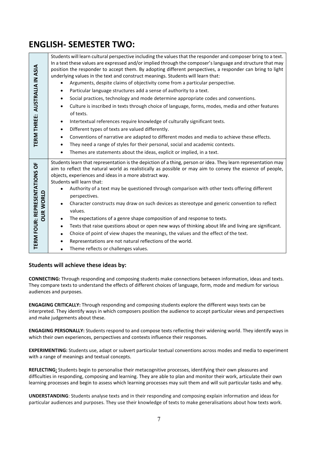# **ENGLISH- SEMESTER TWO:**

| TERM THREE: AUSTRALIA IN ASIA                     | Students will learn cultural perspective including the values that the responder and composer bring to a text.<br>In a text these values are expressed and/or implied through the composer's language and structure that may<br>position the responder to accept them. By adopting different perspectives, a responder can bring to light<br>underlying values in the text and construct meanings. Students will learn that:<br>Arguments, despite claims of objectivity come from a particular perspective.<br>Particular language structures add a sense of authority to a text.<br>$\bullet$<br>Social practices, technology and mode determine appropriate codes and conventions.<br>$\bullet$<br>Culture is inscribed in texts through choice of language, forms, modes, media and other features<br>$\bullet$<br>of texts.<br>Intertextual references require knowledge of culturally significant texts.<br>$\bullet$<br>Different types of texts are valued differently.<br>$\bullet$<br>Conventions of narrative are adapted to different modes and media to achieve these effects.<br>$\bullet$<br>They need a range of styles for their personal, social and academic contexts.<br>$\bullet$<br>Themes are statements about the ideas, explicit or implied, in a text. |
|---------------------------------------------------|----------------------------------------------------------------------------------------------------------------------------------------------------------------------------------------------------------------------------------------------------------------------------------------------------------------------------------------------------------------------------------------------------------------------------------------------------------------------------------------------------------------------------------------------------------------------------------------------------------------------------------------------------------------------------------------------------------------------------------------------------------------------------------------------------------------------------------------------------------------------------------------------------------------------------------------------------------------------------------------------------------------------------------------------------------------------------------------------------------------------------------------------------------------------------------------------------------------------------------------------------------------------------------|
| TERM FOUR: REPRESENTATIONS OF<br><b>OUR WORLD</b> | Students learn that representation is the depiction of a thing, person or idea. They learn representation may<br>aim to reflect the natural world as realistically as possible or may aim to convey the essence of people,<br>objects, experiences and ideas in a more abstract way.<br>Students will learn that:<br>Authority of a text may be questioned through comparison with other texts offering different<br>$\bullet$<br>perspectives.<br>Character constructs may draw on such devices as stereotype and generic convention to reflect<br>values.<br>The expectations of a genre shape composition of and response to texts.<br>$\bullet$<br>Texts that raise questions about or open new ways of thinking about life and living are significant.<br>$\bullet$<br>Choice of point of view shapes the meanings, the values and the effect of the text.<br>$\bullet$<br>Representations are not natural reflections of the world.<br>$\bullet$<br>Theme reflects or challenges values.<br>$\bullet$                                                                                                                                                                                                                                                                      |
|                                                   | Students will achieve these ideas by:<br>CONNECTING: Through responding and composing students make connections between information, ideas and texts.<br>They compare texts to understand the effects of different choices of language, form, mode and medium for various<br>audiences and purposes.<br>ENGAGING CRITICALLY: Through responding and composing students explore the different ways texts can be<br>interpreted. They identify ways in which composers position the audience to accept particular views and perspectives<br>and make judgements about these.<br>ENGAGING PERSONALLY: Students respond to and compose texts reflecting their widening world. They identify ways i<br>which their own experiences, perspectives and contexts influence their responses.                                                                                                                                                                                                                                                                                                                                                                                                                                                                                              |
|                                                   | EXPERIMENTING: Students use, adapt or subvert particular textual conventions across modes and media to experimer<br>with a range of meanings and textual concepts.<br>REFLECTING: Students begin to personalise their metacognitive processes, identifying their own pleasures and<br>difficulties in responding, composing and learning. They are able to plan and monitor their work, articulate their own<br>learning processes and begin to assess which learning processes may suit them and will suit particular tasks and why.                                                                                                                                                                                                                                                                                                                                                                                                                                                                                                                                                                                                                                                                                                                                            |
|                                                   | <b>UNDERSTANDING</b> : Students analyse texts and in their responding and composing explain information and ideas for<br>particular audiences and purposes. They use their knowledge of texts to make generalisations about how texts work.                                                                                                                                                                                                                                                                                                                                                                                                                                                                                                                                                                                                                                                                                                                                                                                                                                                                                                                                                                                                                                      |

#### **Students will achieve these ideas by:**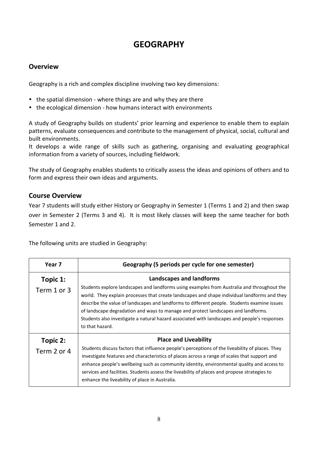# **GEOGRAPHY**

## **Overview**

Geography is a rich and complex discipline involving two key dimensions:

- the spatial dimension where things are and why they are there
- the ecological dimension how humans interact with environments

A study of Geography builds on students' prior learning and experience to enable them to explain patterns, evaluate consequences and contribute to the management of physical, social, cultural and built environments.

It develops a wide range of skills such as gathering, organising and evaluating geographical information from a variety of sources, including fieldwork.

The study of Geography enables students to critically assess the ideas and opinions of others and to form and express their own ideas and arguments.

## **Course Overview**

Year 7 students will study either History or Geography in Semester 1 (Terms 1 and 2) and then swap over in Semester 2 (Terms 3 and 4). It is most likely classes will keep the same teacher for both Semester 1 and 2.

The following units are studied in Geography:

| Year 7                  | Geography (5 periods per cycle for one semester)                                                                                                                                                                                                                                                                                                                                                                                                                                                                                     |  |
|-------------------------|--------------------------------------------------------------------------------------------------------------------------------------------------------------------------------------------------------------------------------------------------------------------------------------------------------------------------------------------------------------------------------------------------------------------------------------------------------------------------------------------------------------------------------------|--|
| Topic 1:<br>Term 1 or 3 | <b>Landscapes and landforms</b><br>Students explore landscapes and landforms using examples from Australia and throughout the<br>world. They explain processes that create landscapes and shape individual landforms and they<br>describe the value of landscapes and landforms to different people. Students examine issues<br>of landscape degradation and ways to manage and protect landscapes and landforms.<br>Students also investigate a natural hazard associated with landscapes and people's responses<br>to that hazard. |  |
| Topic 2:<br>Term 2 or 4 | <b>Place and Liveability</b><br>Students discuss factors that influence people's perceptions of the liveability of places. They<br>investigate features and characteristics of places across a range of scales that support and<br>enhance people's wellbeing such as community identity, environmental quality and access to<br>services and facilities. Students assess the liveability of places and propose strategies to<br>enhance the liveability of place in Australia.                                                      |  |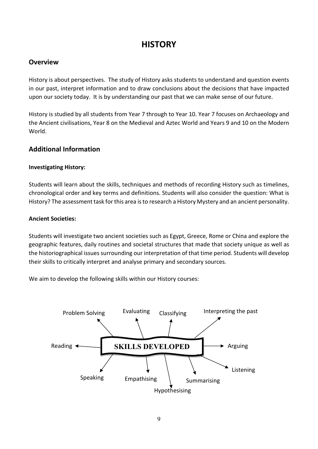# **HISTORY**

## **Overview**

History is about perspectives. The study of History asks students to understand and question events in our past, interpret information and to draw conclusions about the decisions that have impacted upon our society today. It is by understanding our past that we can make sense of our future.

History is studied by all students from Year 7 through to Year 10. Year 7 focuses on Archaeology and the Ancient civilisations, Year 8 on the Medieval and Aztec World and Years 9 and 10 on the Modern World.

## **Additional Information**

### **Investigating History:**

Students will learn about the skills, techniques and methods of recording History such as timelines, chronological order and key terms and definitions. Students will also consider the question: What is History? The assessment task forthis area is to research a History Mystery and an ancient personality.

#### **Ancient Societies:**

Students will investigate two ancient societies such as Egypt, Greece, Rome or China and explore the geographic features, daily routines and societal structures that made that society unique as well as the historiographical issues surrounding our interpretation of that time period. Students will develop their skills to critically interpret and analyse primary and secondary sources.

We aim to develop the following skills within our History courses:

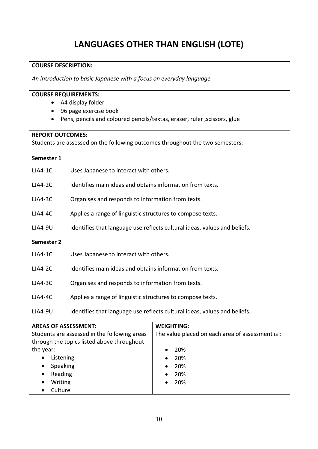# **LANGUAGES OTHER THAN ENGLISH (LOTE)**

#### **COURSE DESCRIPTION:**

*An introduction to basic Japanese with a focus on everyday language.* 

#### **COURSE REQUIREMENTS:**

- A4 display folder
- 96 page exercise book
- Pens, pencils and coloured pencils/textas, eraser, ruler ,scissors, glue

#### **REPORT OUTCOMES:**

Students are assessed on the following outcomes throughout the two semesters:

#### **Semester 1**

| $LJA4-1C$      | Uses Japanese to interact with others.                                    |  |
|----------------|---------------------------------------------------------------------------|--|
| $LJA4-2C$      | Identifies main ideas and obtains information from texts.                 |  |
| $LJA4-3C$      | Organises and responds to information from texts.                         |  |
| $LJA4-4C$      | Applies a range of linguistic structures to compose texts.                |  |
| <b>LJA4-9U</b> | Identifies that language use reflects cultural ideas, values and beliefs. |  |
| Semester 2     |                                                                           |  |
| $LJA4-1C$      | Uses Japanese to interact with others.                                    |  |
| $LJA4-2C$      | Identifies main ideas and obtains information from texts.                 |  |
| <b>LJA4-3C</b> | Organises and responds to information from texts.                         |  |
| $LJA4-4C$      | Applies a range of linguistic structures to compose texts.                |  |
| <b>LJA4-9U</b> | Identifies that language use reflects cultural ideas, values and beliefs. |  |

| <b>AREAS OF ASSESSMENT:</b>                  | <b>WEIGHTING:</b>                                |
|----------------------------------------------|--------------------------------------------------|
| Students are assessed in the following areas | The value placed on each area of assessment is : |
| through the topics listed above throughout   |                                                  |
| the year:                                    | 20%<br>$\bullet$                                 |
| Listening<br>$\bullet$                       | 20%<br>$\bullet$                                 |
| Speaking<br>$\bullet$                        | 20%<br>$\bullet$                                 |
| Reading<br>$\bullet$                         | 20%<br>$\bullet$                                 |
| Writing<br>$\bullet$                         | 20%<br>$\bullet$                                 |
| Culture                                      |                                                  |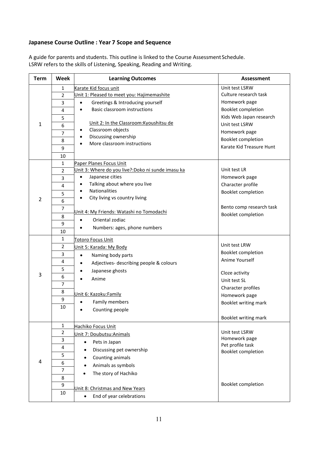### **Japanese Course Outline : Year 7 Scope and Sequence**

A guide for parents and students. This outline is linked to the Course Assessment Schedule. LSRW refers to the skills of Listening, Speaking, Reading and Writing.

| <b>Term</b>    | Week           | <b>Learning Outcomes</b>                                         | <b>Assessment</b>               |
|----------------|----------------|------------------------------------------------------------------|---------------------------------|
|                | 1              | Karate Kid focus unit                                            | Unit test LSRW                  |
|                | $\overline{2}$ | Unit 1: Pleased to meet you: Hajimemashite                       | Culture research task           |
|                | 3              | Greetings & Introducing yourself<br>$\bullet$                    | Homework page                   |
|                | 4              | Basic classroom instructions<br>$\bullet$                        | Booklet completion              |
|                | 5              |                                                                  | Kids Web Japan research         |
| 1              | 6              | Unit 2: In the Classroom: Kyoushitsu de                          | Unit test LSRW                  |
|                | $\overline{7}$ | Classroom objects<br>$\bullet$                                   | Homework page                   |
|                | 8              | Discussing ownership<br>$\bullet$<br>More classroom instructions | Booklet completion              |
|                | 9              | $\bullet$                                                        | Karate Kid Treasure Hunt        |
|                | 10             |                                                                  |                                 |
|                | 1              | Paper Planes Focus Unit                                          |                                 |
|                | 2              | Unit 3: Where do you live?: Doko ni sunde imasu ka               | Unit test LR                    |
|                | 3              | Japanese cities<br>$\bullet$                                     | Homework page                   |
|                | 4              | Talking about where you live<br>$\bullet$                        | Character profile               |
|                | 5              | Nationalities<br>$\bullet$                                       | Booklet completion              |
| $\overline{2}$ | 6              | City living vs country living<br>$\bullet$                       |                                 |
|                | 7              |                                                                  | Bento comp research task        |
|                | 8              | Unit 4: My Friends: Watashi no Tomodachi                         | Booklet completion              |
|                | 9              | Oriental zodiac<br>$\bullet$                                     |                                 |
|                | 10             | Numbers: ages, phone numbers                                     |                                 |
|                | 1              | Totoro Focus Unit                                                |                                 |
|                | $\overline{2}$ | Unit 5: Karada: My Body                                          | Unit test LRW                   |
|                | 3              | Naming body parts<br>$\bullet$                                   | Booklet completion              |
|                | 4              | Adjectives- describing people & colours                          | Anime Yourself                  |
|                | 5              | Japanese ghosts                                                  |                                 |
| 3              | 6              | Anime                                                            | Cloze activity                  |
|                | $\overline{7}$ |                                                                  | Unit test SL                    |
|                | 8              |                                                                  | Character profiles              |
|                | 9              | Unit 6: Kazoku:Family                                            | Homework page                   |
|                | 10             | Family members                                                   | Booklet writing mark            |
|                |                | Counting people<br>$\bullet$                                     |                                 |
|                |                |                                                                  | Booklet writing mark            |
|                | $\mathbf{1}$   | Hachiko Focus Unit                                               |                                 |
|                | $\overline{2}$ | Unit 7: Doubutsu: Animals                                        | Unit test LSRW<br>Homework page |
|                | 3              | Pets in Japan<br>$\bullet$                                       | Pet profile task                |
|                | 4              | Discussing pet ownership                                         | Booklet completion              |
|                | 5              | Counting animals                                                 |                                 |
| 4              | 6              | Animals as symbols                                               |                                 |
|                | 7              | The story of Hachiko                                             |                                 |
|                | 8              |                                                                  |                                 |
|                | 9              | Unit 8: Christmas and New Years                                  | Booklet completion              |
|                | 10             | End of year celebrations<br>$\bullet$                            |                                 |
|                |                |                                                                  |                                 |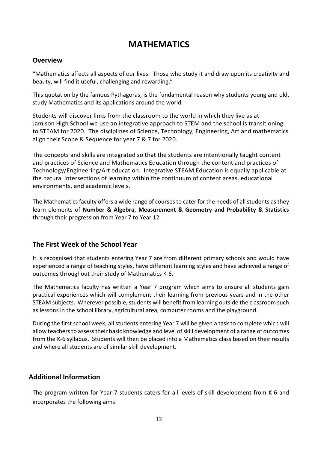# **MATHEMATICS**

## **Overview**

"Mathematics affects all aspects of our lives. Those who study it and draw upon its creativity and beauty, will find it useful, challenging and rewarding."

This quotation by the famous Pythagoras, is the fundamental reason why students young and old, study Mathematics and its applications around the world.

Students will discover links from the classroom to the world in which they live as at Jamison High School we use an integrative approach to STEM and the school is transitioning to STEAM for 2020. The disciplines of Science, Technology, Engineering, Art and mathematics align their Scope & Sequence for year 7 & 7 for 2020.

The concepts and skills are integrated so that the students are intentionally taught content and practices of Science and Mathematics Education through the content and practices of Technology/Engineering/Art education. Integrative STEAM Education is equally applicable at the natural intersections of learning within the continuum of content areas, educational environments, and academic levels.

The Mathematics faculty offers a wide range of courses to cater for the needs of all students as they learn elements of **Number & Algebra, Measurement & Geometry and Probability & Statistics** through their progression from Year 7 to Year 12

## **The First Week of the School Year**

It is recognised that students entering Year 7 are from different primary schools and would have experienced a range of teaching styles, have different learning styles and have achieved a range of outcomes throughout their study of Mathematics K-6.

The Mathematics faculty has written a Year 7 program which aims to ensure all students gain practical experiences which will complement their learning from previous years and in the other STEAM subjects. Wherever possible, students will benefit from learning outside the classroom such as lessons in the school library, agricultural area, computer rooms and the playground.

During the first school week, all students entering Year 7 will be given a task to complete which will allow teachers to assess their basic knowledge and level of skill development of a range of outcomes from the K-6 syllabus. Students will then be placed into a Mathematics class based on their results and where all students are of similar skill development.

## **Additional Information**

The program written for Year 7 students caters for all levels of skill development from K-6 and incorporates the following aims: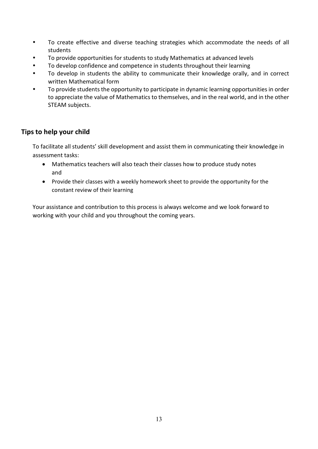- To create effective and diverse teaching strategies which accommodate the needs of all students
- To provide opportunities for students to study Mathematics at advanced levels
- To develop confidence and competence in students throughout their learning
- To develop in students the ability to communicate their knowledge orally, and in correct written Mathematical form
- To provide students the opportunity to participate in dynamic learning opportunities in order to appreciate the value of Mathematics to themselves, and in the real world, and in the other STEAM subjects.

## **Tips to help your child**

To facilitate all students' skill development and assist them in communicating their knowledge in assessment tasks:

- Mathematics teachers will also teach their classes how to produce study notes and
- Provide their classes with a weekly homework sheet to provide the opportunity for the constant review of their learning

Your assistance and contribution to this process is always welcome and we look forward to working with your child and you throughout the coming years.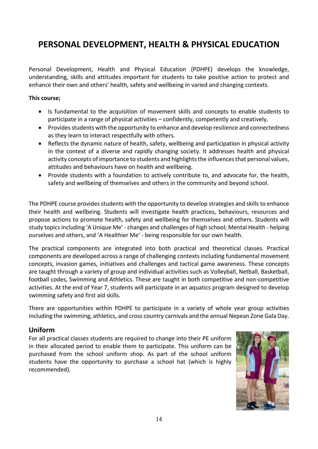# **PERSONAL DEVELOPMENT, HEALTH & PHYSICAL EDUCATION**

Personal Development, Health and Physical Education (PDHPE) develops the knowledge, understanding, skills and attitudes important for students to take positive action to protect and enhance their own and others' health, safety and wellbeing in varied and changing contexts.

#### **This course;**

- Is fundamental to the acquisition of movement skills and concepts to enable students to participate in a range of physical activities – confidently, competently and creatively.
- Provides students with the opportunity to enhance and develop resilience and connectedness as they learn to interact respectfully with others.
- Reflects the dynamic nature of health, safety, wellbeing and participation in physical activity in the context of a diverse and rapidly changing society. It addresses health and physical activity concepts of importance to students and highlights the influences that personal values, attitudes and behaviours have on health and wellbeing.
- Provide students with a foundation to actively contribute to, and advocate for, the health, safety and wellbeing of themselves and others in the community and beyond school.

The PDHPE course provides students with the opportunity to develop strategies and skills to enhance their health and wellbeing. Students will investigate health practices, behaviours, resources and propose actions to promote health, safety and wellbeing for themselves and others. Students will study topics including 'A Unique Me' - changes and challenges of high school; Mental Health - helping ourselves and others, and 'A Healthier Me' - being responsible for our own health.

The practical components are integrated into both practical and theoretical classes. Practical components are developed across a range of challenging contexts including fundamental movement concepts, invasion games, initiatives and challenges and tactical game awareness. These concepts are taught through a variety of group and individual activities such as Volleyball, Netball, Basketball, football codes, Swimming and Athletics. These are taught in both competitive and non-competitive activities. At the end of Year 7, students will participate in an aquatics program designed to develop swimming safety and first aid skills.

There are opportunities within PDHPE to participate in a variety of whole year group activities including the swimming, athletics, and cross country carnivals and the annual Nepean Zone Gala Day.

## **Uniform**

For all practical classes students are required to change into their PE uniform in their allocated period to enable them to participate. This uniform can be purchased from the school uniform shop. As part of the school uniform students have the opportunity to purchase a school hat (which is highly recommended).

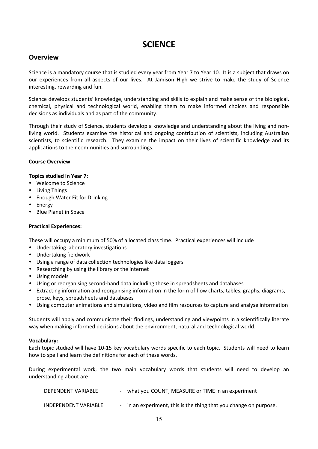# **SCIENCE**

## **Overview**

Science is a mandatory course that is studied every year from Year 7 to Year 10. It is a subject that draws on our experiences from all aspects of our lives. At Jamison High we strive to make the study of Science interesting, rewarding and fun.

Science develops students' knowledge, understanding and skills to explain and make sense of the biological, chemical, physical and technological world, enabling them to make informed choices and responsible decisions as individuals and as part of the community.

Through their study of Science, students develop a knowledge and understanding about the living and nonliving world. Students examine the historical and ongoing contribution of scientists, including Australian scientists, to scientific research. They examine the impact on their lives of scientific knowledge and its applications to their communities and surroundings.

#### **Course Overview**

#### **Topics studied in Year 7:**

- Welcome to Science
- Living Things
- Enough Water Fit for Drinking
- Energy
- Blue Planet in Space

#### **Practical Experiences:**

These will occupy a minimum of 50% of allocated class time. Practical experiences will include

- Undertaking laboratory investigations
- Undertaking fieldwork
- Using a range of data collection technologies like data loggers
- Researching by using the library or the internet
- Using models
- Using or reorganising second-hand data including those in spreadsheets and databases
- Extracting information and reorganising information in the form of flow charts, tables, graphs, diagrams, prose, keys, spreadsheets and databases
- Using computer animations and simulations, video and film resources to capture and analyse information

Students will apply and communicate their findings, understanding and viewpoints in a scientifically literate way when making informed decisions about the environment, natural and technological world.

#### **Vocabulary:**

Each topic studied will have 10-15 key vocabulary words specific to each topic. Students will need to learn how to spell and learn the definitions for each of these words.

During experimental work, the two main vocabulary words that students will need to develop an understanding about are:

| DEPENDENT VARIABLE   | - what you COUNT, MEASURE or TIME in an experiment                |
|----------------------|-------------------------------------------------------------------|
| INDEPENDENT VARIABLE | - in an experiment, this is the thing that you change on purpose. |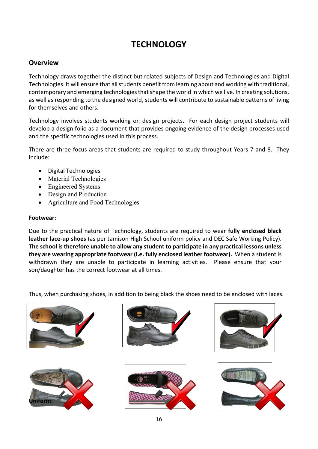# **TECHNOLOGY**

## **Overview**

Technology draws together the distinct but related subjects of Design and Technologies and Digital Technologies. It will ensure that all students benefit from learning about and working with traditional, contemporary and emerging technologies that shape the world in which we live. In creating solutions, as well as responding to the designed world, students will contribute to sustainable patterns of living for themselves and others.

Technology involves students working on design projects. For each design project students will develop a design folio as a document that provides ongoing evidence of the design processes used and the specific technologies used in this process.

There are three focus areas that students are required to study throughout Years 7 and 8. They include:

- Digital Technologies
- Material Technologies
- Engineered Systems
- Design and Production
- Agriculture and Food Technologies

#### **Footwear:**

Due to the practical nature of Technology, students are required to wear **fully enclosed black leather lace-up shoes** (as per Jamison High School uniform policy and DEC Safe Working Policy). **The school is therefore unable to allow any student to participate in any practical lessons unless they are wearing appropriate footwear (i.e. fully enclosed leather footwear).** When a student is withdrawn they are unable to participate in learning activities. Please ensure that your son/daughter has the correct footwear at all times.

Thus, when purchasing shoes, in addition to being black the shoes need to be enclosed with laces.

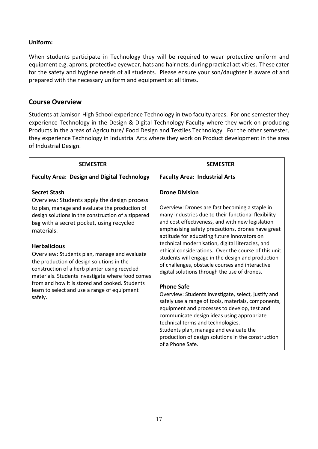### **Uniform:**

When students participate in Technology they will be required to wear protective uniform and equipment e.g. aprons, protective eyewear, hats and hair nets, during practical activities. These cater for the safety and hygiene needs of all students. Please ensure your son/daughter is aware of and prepared with the necessary uniform and equipment at all times.

## **Course Overview**

Students at Jamison High School experience Technology in two faculty areas. For one semester they experience Technology in the Design & Digital Technology Faculty where they work on producing Products in the areas of Agriculture/ Food Design and Textiles Technology. For the other semester, they experience Technology in Industrial Arts where they work on Product development in the area of Industrial Design.

| <b>SEMESTER</b>                                                                                                                                                                                                                                                                                                                                                                                                                                                                                                                                                            | <b>SEMESTER</b>                                                                                                                                                                                                                                                                                                                                                                                                                                                                                                                                                                                                                                                                                                                                                                                                                                                                                                                                      |
|----------------------------------------------------------------------------------------------------------------------------------------------------------------------------------------------------------------------------------------------------------------------------------------------------------------------------------------------------------------------------------------------------------------------------------------------------------------------------------------------------------------------------------------------------------------------------|------------------------------------------------------------------------------------------------------------------------------------------------------------------------------------------------------------------------------------------------------------------------------------------------------------------------------------------------------------------------------------------------------------------------------------------------------------------------------------------------------------------------------------------------------------------------------------------------------------------------------------------------------------------------------------------------------------------------------------------------------------------------------------------------------------------------------------------------------------------------------------------------------------------------------------------------------|
| <b>Faculty Area: Design and Digital Technology</b>                                                                                                                                                                                                                                                                                                                                                                                                                                                                                                                         | <b>Faculty Area: Industrial Arts</b>                                                                                                                                                                                                                                                                                                                                                                                                                                                                                                                                                                                                                                                                                                                                                                                                                                                                                                                 |
| <b>Secret Stash</b><br>Overview: Students apply the design process<br>to plan, manage and evaluate the production of<br>design solutions in the construction of a zippered<br>bag with a secret pocket, using recycled<br>materials.<br><b>Herbalicious</b><br>Overview: Students plan, manage and evaluate<br>the production of design solutions in the<br>construction of a herb planter using recycled<br>materials. Students investigate where food comes<br>from and how it is stored and cooked. Students<br>learn to select and use a range of equipment<br>safely. | <b>Drone Division</b><br>Overview: Drones are fast becoming a staple in<br>many industries due to their functional flexibility<br>and cost effectiveness, and with new legislation<br>emphasising safety precautions, drones have great<br>aptitude for educating future innovators on<br>technical modernisation, digital literacies, and<br>ethical considerations. Over the course of this unit<br>students will engage in the design and production<br>of challenges, obstacle courses and interactive<br>digital solutions through the use of drones.<br><b>Phone Safe</b><br>Overview: Students investigate, select, justify and<br>safely use a range of tools, materials, components,<br>equipment and processes to develop, test and<br>communicate design ideas using appropriate<br>technical terms and technologies.<br>Students plan, manage and evaluate the<br>production of design solutions in the construction<br>of a Phone Safe. |